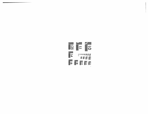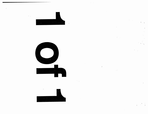









 $\hat{I}$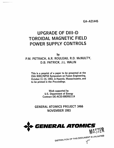**GA-A21**4**4**5

# **UPGRADE OF DIII-D T**O**R**O**I**D**AL** M**AG**N**ETI**C **FIE**LD **POWER SUPPLY CONTROLS**

by P.M. PETRACH, A.R. ROUL**EAU,R.D. Mc**N**ULTY, D.B. PATRICK,J.**L**. WA**L**I**N

**This is a preprintof a paperto be presentedat the** 15th **IEEE/NPSS** Symposium on Fusion Engineering, **October11-15, 199**3**,in Hyannis,Massachusetts,and** t**o be printedin the P**ro**cee**dings**.**

> **Work** supported by **U.S. Department of Energy ContractDE-AC**0**3-89ER51114**

GENERALATOMICS PROJECT3466 NOVEMBER 1993

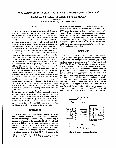## **UPGRADEOFDII**I-**DTORO**I**DALMAGNET**I**CF**I**ELDP**O**WERSUPPLYC**O**NTROLS\***

**P.M.Petrach, A.R.Rouleau, R.D.McNulty, D.B.Patrick, J.L.Walin**

**General Atomics** 

P.O.**Box85608,SanDiego,Californiag2138-9784**

**experiments, the series-parallel configuration is required. The and it was evident that a major control of the control system of the control of the control of the control of the control of the control of the control syste** original design provided each individual module with its own voltage **(**E) and *c*urrent *0*) *c*ontrol loop and a main control loop. A problem with this design was that the individual control loops would cause a **CONFIGURATION** current sharing imbalance in the parallel modules if the calibrated loops drifted by the slightest amount. It was determined that The TF supply consists of four individual modules that are individual control loops were not needed and a single phase lock configured in a series-parallel comb Programmable Logic Controller (PLC). All existing interconnect wire was remov**e**d and replaced with multiconductor c**a**bles that connect directly from fault sensors and input devices to the PLC. It is anticipated that an average of 12 h per year in control loop downtime<br>will be eliminated. In addition, 100 man-hours of annual calibration.<br> $\begin{array}{c}\n\bullet \\
\bullet \\
\bullet\n\end{array}$ will be eliminated. In addition, 100 man-hours of annual calibration, time will be eliminated. New capabilities introduced by the **PL** $\subset$  **F**  $\mathsf{f}_{\text{RF}}$  **TFCOIL1** should provide for at least one additional plasma shot per day.

### **INTRODUCTION**

The DIII-D tokamak fusion research program is carried out by General Atomics (GA) under contract to the U.S. **o**ut by General At**o**mics **(**GA**)** under c**o**ntract to the U.S. i **|** ]**:** Department of Energy. A Toroidal Field (**'**IF) Power Supply is ...................... the source of power to the toroidal field coil. The TF coil consists of 144 turns of conductors surrounding the **v**acuum vessel and creates a toroidal field to confine the plasma. The *reflection f***<sub>IF</sub>** *<i>l***<sub>IF</sub> <b>***l***<sub>IF</sub>** *l***<sub>IF</sub>** *l***<sub>IF</sub>** *l***<sub>IF</sub> <b>***l***<sub>IF</sub>** *l***<sub>IF</sub>** *l***<sub>IF</sub> <b>***l*<sub>1</sub> *l***<sub>I</sub>** *l***<sub>IF</sub> <b>***l*  $\cup$ ,  $\cup$ ,  $\cup$ ,  $\cup$ ,  $\cup$ ,  $\cup$ ,  $\cup$ ,  $\cup$ ,  $\cup$ ,  $\cup$ ,  $\cup$ ,  $\cup$ ,  $\cup$ ,  $\cup$ ,  $\cup$ ,  $\cup$ ,  $\cup$ ,  $\cup$ ,  $\cup$ ,  $\cup$ ,  $\cup$ ,  $\cup$ ,  $\cup$ ,  $\cup$ ,  $\cup$ ,  $\cup$ ,  $\cup$ ,  $\cup$ ,  $\cup$ ,  $\cup$ ,  $\cup$ ,  $\cup$ ,  $\cup$ ,  $\cup$ ,  $\cup$ ,  $\cup$ ,  $\cup$ , 4.1 milliohm and 30.6 mH respectively. The *T*F power supply was o**ri**gina**l**ly **r**ated to deliver 127,000 A of dc current to the **Fig.1, TF power**systemconfiguration.

**ABSTRACT** T**F** coil for a time **d**uration **o**f 7 s with 10 min **o**f c**o**oling between plasma shots. The power supply was built in the 1970s using the available technology and components from The toroidal magnetic field power supply for the DIII-D tokamak 1970s using the available technology and components from<br>of the 12 pulse line commutated variety. It consists of four that period, including relay logic for f is of the 12 pulse line commutated variety. It **c**onsists of four that period, including relay logic for fault monitoring, timing, individual modules and a main system control cabinet which are and sequencing. Time and environmental conditions gradually<br>combined to deliver 127,000 A and 1000 V to the toroidal field (TF) took their toll on the control combined to deliver 127,000 A and 1000 V to the toroidal field (TF) took their toll on the control boards and relays that were used<br>coil. The modules are connected in a series-parallel configuration but for the critical co **c**oil. The modules are connected in a series-parallel configuration but for the critical control of this supply. In spite of increase**d** can be run alone or two at a time as well. Normally on DIII-D maintenance, sporadic control failures became too frequent

individual control loops were not needed and a single phase lock configured in a series-parallel combination with a single<br>firing circuit was employed in the system cabinet with fiber optic contemplation cabinet integratin firing circuit was employed in the system cabinet with fiber optic<br>links to the modules for gate drive signals. Since all four modules are paralleled modules are referred to as PS#1 (Mod I and II) and links to the modules for gate drive signals. Since all four modules paralleled modules are referred to as PS#1 (Mod I and II) and have to be on line for DIII-D to operate, a problem in any of the five paralleled modules of have to be on line for DIII-D to operate, a problem in any of the five pS#2 (Mod III and IV). The free-wheeling diodes that appear<br>E&I control loops resulted in the supply, and, therefore, the tokamak, across the output of E&I control loops resulted in the supply, and, therefore, the tokamak, across the output of PS#1 and PS#2 provide a path for the being idled. By reducing the number of control loops to one, the decaying current in the toro being idled. By reducing the number of control loops to one, the decaying current in the toroidal field upon completion of the<br>sharing problem was eliminated, as well as 4 out of 5 potential plasma shot. These diodes also sharing problem was eliminated, as well as 4 out of 5 potential plasma shot. These diodes also remove the additional heat<br>control failures. The original supply employed relay logic for heart-on that the power supply semico control failures. The original supply employed relay logic for burden that the power supp!y semiconductors would bear if<br>Sequence control and fault monitoring. There were over 130 relays in the visable to remain in the cir sequence control and fault monitoring. There were over 130 relays in they had to remain in the circuit to discharge the energy in the<br>each module plus an additional 100 in the system cabinet. The coil In addition, the diod each module plus an additional 100 in the system cabinet. The coil. In addition, the diodes complete the circuit when only combination of the number of relays with the required one of the power supplies is operating. The combination of the number of relays with the required one of the power supplies is operating. The original design<br>interconnecting wiring, the age of the supply, the vibrations of the allowed each one of these modules to be interconnecting wiring, the age of the supply, the vibrations of the allowed each one of these modules to be used as an<br>cabinets and the harsh environment, resulted in a continuously independent power supply. Each module h cabinets and the harsh environment, resulted in a continuously independent power supply, Each module had its own controls escalating number of "phantom," and often intermittent, faults. In and the ability to run together w escalating number of "phantom," and often intermittent, faults. In and the ability to run together with the other modules by<br>some cases, a day of testing and searching was required to isolate the selectice from the main sy some cases, a day of testing and searching was payaired to isolate the selection from the main system controller. The individual problem. The fault and sequence logic relays were replaced by a new moduly along frequency h problem. The fault and sequence logic \_*'*elayswere replaced by a new **l**nodu|," \_,\_ops freque\_ray !\_adto be calib*r*ated to be identical to



<sup>\*</sup>M**anu**s**cr**ip**t r**e**c**ei**v**ed **O**ct**o**be**r** 1**4,** 1993**. T**his **work w**a\_\_s**u**pp**or**ted **by t**he **U.S.** I)epaa**-**tme**n**t **of** E**n**erg**y** C**o**nt**r**act No. DE**-**AC03**-**89ER5111**4***.*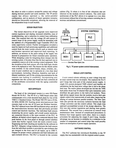the others in order to achieve acceptable current and voltage sharing between parallel and series modules. The TF power supply has always operated in the series-parallel configuration, and an analysis of future operation scenarios showed no foreseeable exceptions, allowing the removal of the independent loops in each module.

### **DESIGN OBJECTIVES**

The initial objectives of the upgrade were improved current regulation and sharing, increased reliability, ease of troubleshooting, and a reduction in control loop calibration time. This required that only the voltage (E) and current (I) control loops of the power supply would be remodeled with the addition of a Programmable Logic Controller (PLC) for some supervisory control. Further investigation revealed a need for improved fault processing capabilities and additional control from the main system console such as remote reset and breaker operation and improved fault reporting. In addition, an increase in the pulse rating of the supply was desired in preparation for future extended pulse operation. While designing a plan for integrating these changes into the existing system, it became clear that the best approach was to completely remove all of the existing control equipment. With the exception of the fault sensors, all of the fault logic circuits were to be replaced as well. The reasons for this drastic action were twofold: (1) the control boards, relays, switches, etc., were in poor condition due to operation in a less than ideal environment, including vibration, humidity and lack of filtered ventilation; and (2) the existing documentation for the controls was lacking in credibility. Incorporating new equipment into this system just would not have corrected all of the problems associated with the aging controller components.

### **NEW APPROACH**

The heart of the redesigned system is a new GE-Fanuc Model 90-70 PLC. The 90-70 is a VME-based series that communicates over a rack mounted back plane by way of the VME C.1 Standard format. The Model 782 CPU uses a 32 bit, 16 MHz 80386 DX floating point microprocessor that executes logic at the rate of 0.4 µsec per Boolean function. This PLC replaced more than 600 mechanical relays and all of the interconnections between them that previously provided control and interlock functions. The individual fault sensors monitoring the power supply, and overall system interlocks, are connected directly to the input modules of the PLC. In addition, all digital control signals are connected directly from push buttons on the front panel or through control interface cards that buffer signals from the main control room. Sequencing and fault checking are handled by the software in the PLC. Adequate voltage isolation between the fault sensors from the individual modules is provided by opto-isolators that are integral to the front end of all inputs, up to 1500 V. Outputs for proper control, protection and fault indication are opto-isolated drivers. The PLC is located in the systems cabinet (Fig. 2) where it is free of the vibrations that are inherent in the module control cabinets. The solid state architecture of the PLC allows it to operate in a very dirty environment without fear of moving contacts corroding due to moisture and airborne contaminants.



- Denotes Fiber-Optic Line

Fig. 2. TF power system control interconnect.

### SINGLE LOOP CONTROL

A new control scheme utilizing an outer voltage loop and an inner current loop was developed. This replaced the five E and I loops that were part of the original power supply. A single GA custom-designed VME control card handles all calculations for the loop error voltage that is fed to the phase lock loop. The twelve pulses developed are fed into the VME back plane where four 16-channel fiber optic transmitter cards distribute the gate pulses to the individual modules. These light driven signals insure that the modules receive their gate signals within a few nanoseconds of each other, improving the sharing of current between parallel modules. The fiber optic links also provide the necessary isolation between the high voltage converters and the control cabinet. This single loop approach accomplished several of the design objectives. The first was that current regulation and sharing were greatly enhanced. The second was a reduction in control loop maintenance time. Instead of complicated procedures to balance four loops against each other, there is a simple procedure for adjusting the single E and I loop. Another advantage was an increase in reliability by a reduction in the number of components and control loons that could possibly lead to an interruption of power supply operation.

### **SOFTWARE CONTROL**

The PLC software has introduced flexibility to the TF supply that was unattainable with the original control system.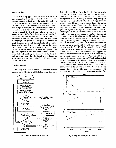supply, regardless of whether it was at the system or module configuration of the TF supply is required only during the level, an immediate shutdown of the entire TF supply was ramping of the toroidal field. When the two s level, an immediate shutdown of t**h**e entire TF supply was ramping of the toroidal field. When the two supplies are in initiated. The problem with this type of response is that the series, a higher driving voltage is present, thereby decreasing plasma shot is terminated early because the toroidal magnetic the ramp time for the TF coil cur plasma shot is terminated early because the toroidal magnetic the ramp time for the TF coil current (I<sub>TF</sub>). During flattop, a field decays, resulting in loss of critical experimental data. single PS can maintain the TF co field decays, resulting in loss of critical experimental data. single PS can maintain the TF coil current. As with a fault, The PLC is able to analyze the fault, determine if it is at the gate blocking one of the supplies transfers current to the free-<br>system or module level, and then evaluate the need of the wheeling diodes that are connected system or module level, and then evaluate the need of the wheeling diodes that are connected across it. Fig. 4 shows the equipment affected (Fig. 3). Different actions will be taken by results of the enable-inhibit sequenc equipment affected (Fig. 3). Different actions will be taken by results of the enable-inhibit sequence and how the current<br>the PLC depending on when the fault occurs, the value of the transfer has negligible effect on the the PLC depending on when the fault occurs, the value of the transfer has negligible effect on the TF coil current. Both current initially, the transfer has negligible effect on the TF coil current initially, current that is being delivered, which Motor-Generator (MG) is supplying the AC power, and what piece of equipment has failed. Typically, any module failure after the TF has reached time, PS#2 is inhibited, causing current to transfer to the flattop can be handled with minimal impact on the system. diodes that are in parallel with it. PS#1 flattop can be handled with minimal impact on the system. diodes that are in parallel with it. PS#1 is now supplying all The PS, which contains the faulted module, will be shutdown the energy needs of the TF coil. When th The PS, which contains the faulted module, will be shutdown the energy needs of the TF coil. When the I<sup>2</sup>t rating for PS#1 and the current will transfer to the free-wheeling diodes. This is approached, PS#2 is enabled and and the current will transfer to the free-wheeling diodes. This is approached, PS#2 is enabled and brought back on line. For type of response allows the plasma shot to continue a short period, until PS#2 has stabilized, bo type of response allows the plasma shot to continue a short period, until PS#2 has stabilized, both supplies are<br>unaffected while notifying the control room that there is a candled. Shortly thereafter, the gates of PS#1 ar unaffected while notifying the control room that there is a enabled. Shortly thereafter, the gates of PS#1 are blocked, problem. In most cases, the offending piece of equipment can transferring the current to its free-whee problem. In most cases, the offending piece of equipment can transferring the current to its free-wheeling diodes. PS#2 now<br>be taken care of in less than 15 min after notification of power supplies the necessary energy for be taken care of in less than 15 min after notification of power systems' personnel.

modules has doubled the available flattop energy that can be  $\frac{1}{\sqrt{2}}$ 

**Fault Processing Example 2018** delivered by the TF supply to the TF coil. This increase is realized by alternately gate blocking each of the power<br>supplies once flattop has been reached. The series In the past, if any type of fault was detected in the power supplies once flattop has been reac**h**ed. The series until  $I_{TF}$  reaches a predetermined programmed flattop. At this time, PS#2 is inhibited, causing current to transfer to the the shot. In addition to the substantial increase in operational capacity, there are other benefits to running in this manner.<br>One is the improved power factor that is drawn by the **Extended Capabilities** One is the interest of the interest of the interest of the interest of the interest of the interest of the interest of the interest of the interest of the interest of the interest of the interest of converters when they are phased on as much as possible. This The ability of the PLC to enable and inhibit the different occurs when one PS provides double the voltage it would<br>trules has doubled the available flattop energy that can be normally supply if running in the series config



Fig. 3. PLC fault processing flowchart. **Fig. 4. TF power supply current transfer.** 

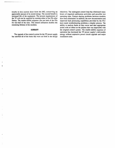results in less current draw from the MG, conserving an objectives. The redesigned control loop has eliminated many appreciable amount of its stored energy. The second benefit is hours of required calibration activities an appreciable amount of its stored energy. The second benefit is hours of required calibration activities and possible lost increased life of the equipment. The present requirements of operating time. Current sharing problem increased life of the equipment. The present requirements of operating time. Current sharing problems between modules the TF coil can be supplied by running either of the PSs after have been eliminated. In addition, the ne the TF coil can be supplied by running either of the PSs after have been eliminated. In addition, the new documentation and flattop. The enable-inhibit sequence can run both of the PSs improved fault processing capabilitie flattop. The enable-inhibit sequence can run both of the PSs improved fault processing capabilities provided by the PLC<br>for one-half of the time. This shared utilization doubles the have made troubleshooting problems a sim for one-half of the time. This shared utilization doubles the have made troubleshooting problems a simpler process. The remaining lifetime of the modules.

has satisfied all of the items that were set forth in the design

ability to analyze faults as they occur and take appropriate action with no affect on the plasma shot was impossible with **SUMMARY** *integral control system. The enable-inhibit sequence of* ope**r**a**t**ion has inc**r**eased the T**F** pow**er** suppl**y**'s delive**r**abl**e** The upgrade of the control system for the TF power supply energy without expensive power circuit upgrade and major<br>satisfied all of the items that were set forth in the design installation costs.